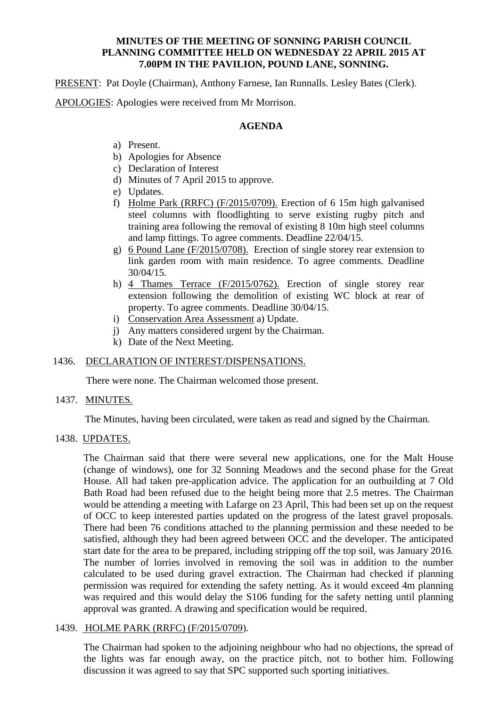#### **MINUTES OF THE MEETING OF SONNING PARISH COUNCIL PLANNING COMMITTEE HELD ON WEDNESDAY 22 APRIL 2015 AT 7.00PM IN THE PAVILION, POUND LANE, SONNING.**

PRESENT: Pat Doyle (Chairman), Anthony Farnese, Ian Runnalls. Lesley Bates (Clerk).

APOLOGIES: Apologies were received from Mr Morrison.

### **AGENDA**

- a) Present.
- b) Apologies for Absence
- c) Declaration of Interest
- d) Minutes of 7 April 2015 to approve.
- e) Updates.
- f) Holme Park (RRFC) (F/2015/0709). Erection of 6 15m high galvanised steel columns with floodlighting to serve existing rugby pitch and training area following the removal of existing 8 10m high steel columns and lamp fittings. To agree comments. Deadline 22/04/15.
- g) 6 Pound Lane (F/2015/0708). Erection of single storey rear extension to link garden room with main residence. To agree comments. Deadline 30/04/15.
- h) 4 Thames Terrace (F/2015/0762). Erection of single storey rear extension following the demolition of existing WC block at rear of property. To agree comments. Deadline 30/04/15.
- i) Conservation Area Assessment a) Update.
- j) Any matters considered urgent by the Chairman.
- k) Date of the Next Meeting.

# 1436. DECLARATION OF INTEREST/DISPENSATIONS.

There were none. The Chairman welcomed those present.

## 1437. MINUTES.

The Minutes, having been circulated, were taken as read and signed by the Chairman.

1438. UPDATES.

The Chairman said that there were several new applications, one for the Malt House (change of windows), one for 32 Sonning Meadows and the second phase for the Great House. All had taken pre-application advice. The application for an outbuilding at 7 Old Bath Road had been refused due to the height being more that 2.5 metres. The Chairman would be attending a meeting with Lafarge on 23 April, This had been set up on the request of OCC to keep interested parties updated on the progress of the latest gravel proposals. There had been 76 conditions attached to the planning permission and these needed to be satisfied, although they had been agreed between OCC and the developer. The anticipated start date for the area to be prepared, including stripping off the top soil, was January 2016. The number of lorries involved in removing the soil was in addition to the number calculated to be used during gravel extraction. The Chairman had checked if planning permission was required for extending the safety netting. As it would exceed 4m planning was required and this would delay the S106 funding for the safety netting until planning approval was granted. A drawing and specification would be required.

# 1439. HOLME PARK (RRFC) (F/2015/0709).

The Chairman had spoken to the adjoining neighbour who had no objections, the spread of the lights was far enough away, on the practice pitch, not to bother him. Following discussion it was agreed to say that SPC supported such sporting initiatives.